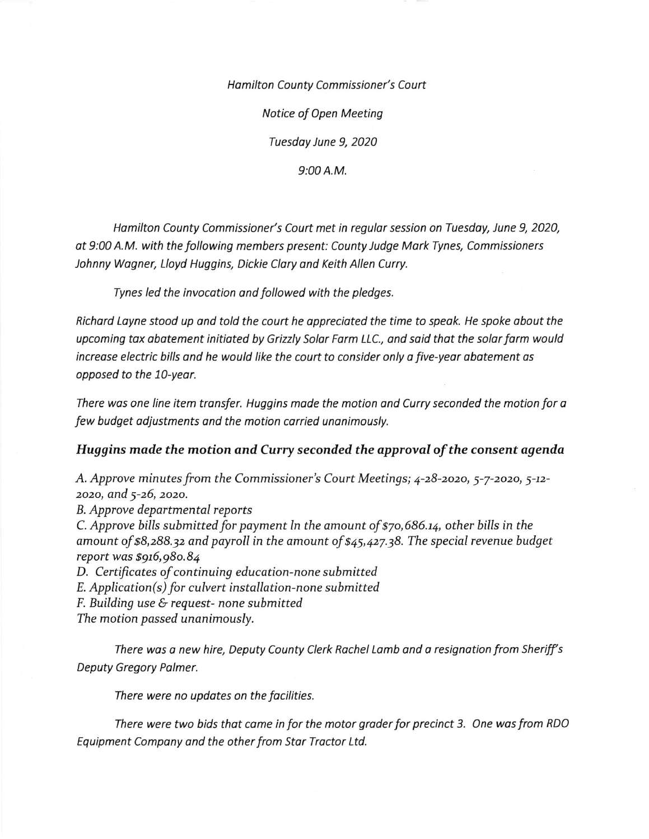Hamilton County Commissioner's Court

Notice of Open Meeting

Tuesdoy June 9, 2020

9:00 A.M.

Hamilton County Commissioner's Court met in regular session on Tuesday, June 9, 2020, ot 9:00 A.M. with the following members present: County Judge Mark Tynes, Commissioners Johnny Wogner, Lloyd Huggins, Dickie Clory ond Keith Allen Curry.

Tynes led the invocotion and followed with the pledges.

Richard Layne stood up and told the court he appreciated the time to speak. He spoke about the upcoming tax abatement initiated by Grizzly Solar Farm LLC., and said that the solar farm would increase electric bills and he would like the court to consider only a five-year abatement as opposed to the 10-yeor.

There was one line item transfer. Huggins made the motion and Curry seconded the motion for a few budget odjustments ond the motion corried unanimously.

## Huggins made the motion and Curry seconded the approval of the consent agenda

A. Approve minutes from the Commissioner's Court Meetings; 4-28-2020, 5-7-2020, 5-12zozo, and 5-26, zozo.

B. Approve departmental reports

C. Approve bills submitted for payment ln the amount of  $$70,686.14$ , other bills in the amount of \$8,288.32 and payroll in the amount of  $\frac{25}{45}$ ,427.38. The special revenue budget report was \$916,980.84

D. Certificates of continuing education-none submitted

 $E.$  Application(s) for culvert installation-none submitted

F. Building use & request- none submitted

The motion passed unanimously.

There was a new hire, Deputy County Clerk Rachel Lamb and a resignation from Sheriff's Deputy Gregory Palmer.

There were no updates on the facilities.

There were two bids that came in for the motor grader for precinct 3. One was from RDO Equipment Company ond the other from Stor Troctor Ltd.